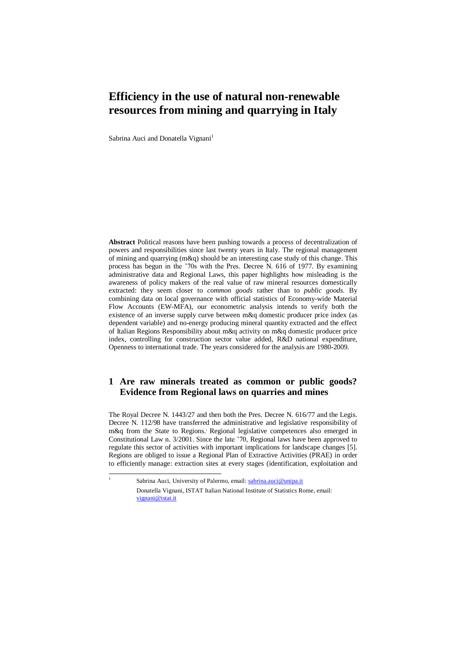# **Efficiency in the use of natural non-renewable resources from mining and quarrying in Italy**

Sabrina Auci and Donatella Vignani<sup>1</sup>

**Abstract** Political reasons have been pushing towards a process of decentralization of powers and responsibilities since last twenty years in Italy. The regional management of mining and quarrying (m&q) should be an interesting case study of this change. This process has begun in the '70s with the Pres. Decree N. 616 of 1977. By examining administrative data and Regional Laws, this paper highlights how misleading is the awareness of policy makers of the real value of raw mineral resources domestically extracted: they seem closer to *common goods* rather than to *public goods*. By combining data on local governance with official statistics of Economy-wide Material Flow Accounts (EW-MFA), our econometric analysis intends to verify both the existence of an inverse supply curve between m&q domestic producer price index (as dependent variable) and no-energy producing mineral quantity extracted and the effect of Italian Regions Responsibility about m&q activity on m&q domestic producer price index, controlling for construction sector value added, R&D national expenditure, Openness to international trade. The years considered for the analysis are 1980-2009.

## **1 Are raw minerals treated as common or public goods? Evidence from Regional laws on quarries and mines**

The Royal Decree N. 1443/27 and then both the Pres. Decree N. 616/77 and the Legis. Decree N. 112/98 have transferred the administrative and legislative responsibility of m&q from the State to Regions.' Regional legislative competences also emerged in Constitutional Law n. 3/2001. Since the late '70, Regional laws have been approved to regulate this sector of activities with important implications for landscape changes [5]. Regions are obliged to issue a Regional Plan of Extractive Activities (PRAE) in order to efficiently manage: extraction sites at every stages (identification, exploitation and

 $\frac{1}{1}$ 

Sabrina Auci, University of Palermo, email[: sabrina.auci@unipa.it](mailto:sabrina.auci@unipa.it)

Donatella Vignani, ISTAT Italian National Institute of Statistics Rome, email: [vignani@istat.it](mailto:vignani@istat.it)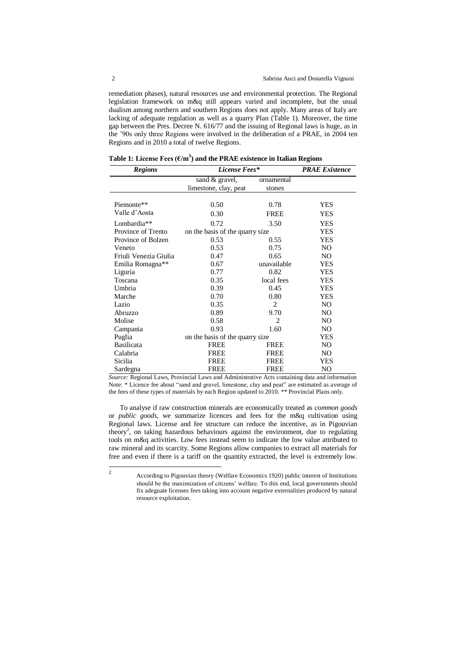remediation phases), natural resources use and environmental protection. The Regional legislation framework on m&q still appears varied and incomplete, but the usual dualism among northern and southern Regions does not apply. Many areas of Italy are lacking of adequate regulation as well as a quarry Plan (Table 1). Moreover, the time gap between the Pres. Decree N. 616/77 and the issuing of Regional laws is huge, as in the '90s only three Regions were involved in the deliberation of a PRAE, in 2004 ten Regions and in 2010 a total of twelve Regions.

| <b>Regions</b>          | License Fees*                   | <b>PRAE</b> Existence |                |  |
|-------------------------|---------------------------------|-----------------------|----------------|--|
|                         | sand & gravel,                  | ornamental            |                |  |
|                         | limestone, clay, peat           | stones                |                |  |
|                         |                                 |                       |                |  |
| Piemonte**              | 0.50                            | 0.78                  | <b>YES</b>     |  |
| Valle d'Aosta           | 0.30                            | <b>FREE</b>           | <b>YES</b>     |  |
| Lombardia <sup>**</sup> | 0.72                            | 3.50                  | <b>YES</b>     |  |
| Province of Trento      | on the basis of the quarry size | <b>YES</b>            |                |  |
| Province of Bolzen      | 0.53<br>0.55                    |                       | <b>YES</b>     |  |
| Veneto                  | 0.53                            | 0.75                  | NO.            |  |
| Friuli Venezia Giulia   | 0.47                            | 0.65                  | NO.            |  |
| Emilia Romagna**        | 0.67                            | unavailable           | <b>YES</b>     |  |
| Liguria                 | 0.77                            | 0.82                  | <b>YES</b>     |  |
| Toscana                 | 0.35                            | local fees            | <b>YES</b>     |  |
| Umbria                  | 0.39                            | 0.45                  | <b>YES</b>     |  |
| Marche                  | 0.70                            | 0.80                  | <b>YES</b>     |  |
| Lazio                   | 0.35                            | $\overline{c}$        | NO.            |  |
| Abruzzo                 | 0.89                            | 9.70                  | NO.            |  |
| Molise                  | 0.58                            | $\overline{c}$        | NO             |  |
| Campania                | 0.93                            | 1.60                  | NO.            |  |
| Puglia                  | on the basis of the quarry size | <b>YES</b>            |                |  |
| <b>Basilicata</b>       | <b>FREE</b>                     | <b>FREE</b>           | NO             |  |
| Calabria                | FREE                            | <b>FREE</b>           | NO.            |  |
| Sicilia                 | <b>FREE</b>                     | <b>FREE</b>           | YES            |  |
| Sardegna                | <b>FREE</b>                     | <b>FREE</b>           | N <sub>O</sub> |  |

**Table 1: License Fees (€/m<sup>3</sup> ) and the PRAE existence in Italian Regions** 

*Source:* Regional Laws, Provincial Laws and Administrative Acts containing data and information Note: \* Licence fee about "sand and gravel, limestone, clay and peat" are estimated as average of the fees of these types of materials by each Region updated to 2010. \*\* Provincial Plans only.

To analyse if raw construction minerals are economically treated as *common goods* or *public goods*, we summarize licences and fees for the m&q cultivation using Regional laws. License and fee structure can reduce the incentive, as in Pigouvian theory<sup>2</sup>, on taking hazardous behaviours against the environment, due to regulating tools on m&q activities. Low fees instead seem to indicate the low value attributed to raw mineral and its scarcity. Some Regions allow companies to extract all materials for free and even if there is a tariff on the quantity extracted, the level is extremely low.

 $\frac{1}{2}$ 

According to Pigouvian theory (Welfare Economics 1920) public interest of Institutions should be the maximization of citizens' welfare. To this end, local governments should fix adeguate licenses fees taking into account negative externalities produced by natural resource exploitation.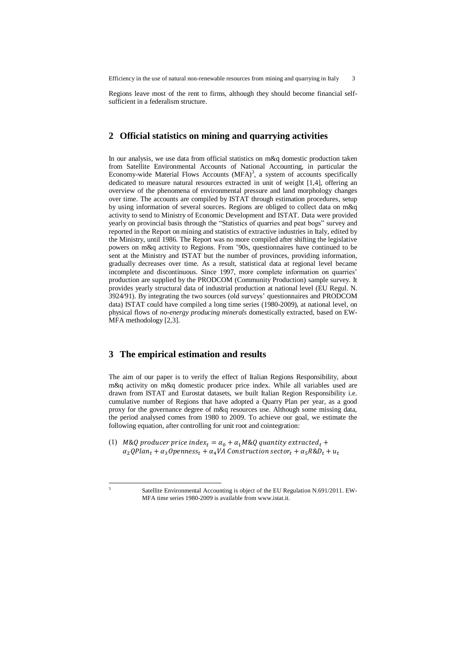Efficiency in the use of natural non-renewable resources from mining and quarrying in Italy 3

Regions leave most of the rent to firms, although they should become financial selfsufficient in a federalism structure.

#### **2 Official statistics on mining and quarrying activities**

In our analysis, we use data from official statistics on m&q domestic production taken from Satellite Environmental Accounts of National Accounting, in particular the Economy-wide Material Flows Accounts  $(MFA)^3$ , a system of accounts specifically dedicated to measure natural resources extracted in unit of weight [1,4], offering an overview of the phenomena of environmental pressure and land morphology changes over time. The accounts are compiled by ISTAT through estimation procedures, setup by using information of several sources. Regions are obliged to collect data on m&q activity to send to Ministry of Economic Development and ISTAT. Data were provided yearly on provincial basis through the "Statistics of quarries and peat bogs" survey and reported in the Report on mining and statistics of extractive industries in Italy, edited by the Ministry, until 1986. The Report was no more compiled after shifting the legislative powers on m&q activity to Regions. From '90s, questionnaires have continued to be sent at the Ministry and ISTAT but the number of provinces, providing information, gradually decreases over time. As a result, statistical data at regional level became incomplete and discontinuous. Since 1997, more complete information on quarries' production are supplied by the PRODCOM (Community Production) sample survey. It provides yearly structural data of industrial production at national level (EU Regul. N. 3924/91). By integrating the two sources (old surveys' questionnaires and PRODCOM data) ISTAT could have compiled a long time series (1980-2009), at national level, on physical flows of *no-energy producing minerals* domestically extracted, based on EW-MFA methodology [2,3].

### **3 The empirical estimation and results**

-3

The aim of our paper is to verify the effect of Italian Regions Responsibility, about m&q activity on m&q domestic producer price index. While all variables used are drawn from ISTAT and Eurostat datasets, we built Italian Region Responsibility i.e. cumulative number of Regions that have adopted a Quarry Plan per year, as a good proxy for the governance degree of m&q resources use. Although some missing data, the period analysed comes from 1980 to 2009. To achieve our goal, we estimate the following equation, after controlling for unit root and cointegration:

(1) M&Q producer price index<sub>t</sub> =  $\alpha_0 + \alpha_1 M$ &Q quantity extracted<sub>t</sub> +  $\alpha_2 QPlan_t + \alpha_3 Openness_t + \alpha_4 VA$  Construction sector<sub>t</sub> +  $\alpha_5 R\&D_t + u_t$ 

Satellite Environmental Accounting is object of the EU Regulation N.691/2011. EW-MFA time series 1980-2009 is available from www.istat.it.